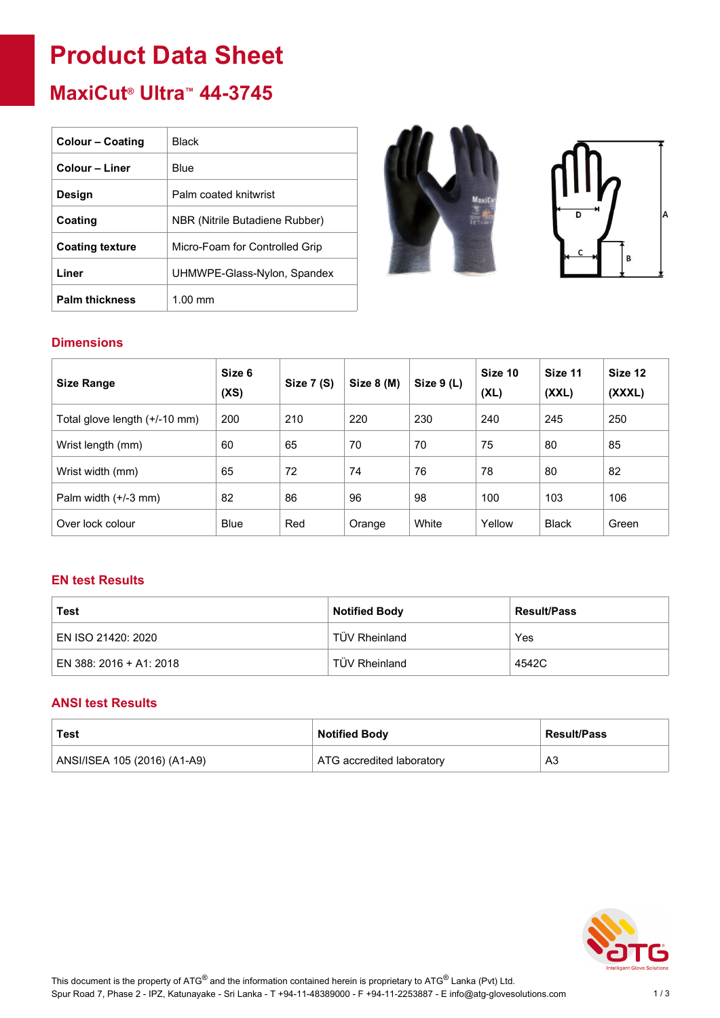# **Product Data Sheet**

# **MaxiCut® Ultra™ 44-3745**

| <b>Colour - Coating</b> | Black                          |
|-------------------------|--------------------------------|
| Colour – Liner          | Blue                           |
| Design                  | Palm coated knitwrist          |
| Coating                 | NBR (Nitrile Butadiene Rubber) |
| <b>Coating texture</b>  | Micro-Foam for Controlled Grip |
| Liner                   | UHMWPE-Glass-Nylon, Spandex    |
| <b>Palm thickness</b>   | $1.00 \text{ mm}$              |





# **Dimensions**

| <b>Size Range</b>             | Size 6<br>(XS) | Size 7 (S) | Size 8 (M) | Size $9(L)$ | Size 10<br>(XL) | Size 11<br>(XXL) | Size 12<br>(XXXL) |
|-------------------------------|----------------|------------|------------|-------------|-----------------|------------------|-------------------|
| Total glove length (+/-10 mm) | 200            | 210        | 220        | 230         | 240             | 245              | 250               |
| Wrist length (mm)             | 60             | 65         | 70         | 70          | 75              | 80               | 85                |
| Wrist width (mm)              | 65             | 72         | 74         | 76          | 78              | 80               | 82                |
| Palm width $(+/-3$ mm)        | 82             | 86         | 96         | 98          | 100             | 103              | 106               |
| Over lock colour              | <b>Blue</b>    | Red        | Orange     | White       | Yellow          | <b>Black</b>     | Green             |

## **EN test Results**

| Test                    | <b>Notified Body</b> | <b>Result/Pass</b> |
|-------------------------|----------------------|--------------------|
| EN ISO 21420: 2020      | TÜV Rheinland        | Yes                |
| EN 388: 2016 + A1: 2018 | <b>TÜV Rheinland</b> | 4542C              |

## **ANSI test Results**

| Test                         | <b>Notified Body</b>      | <b>Result/Pass</b> |
|------------------------------|---------------------------|--------------------|
| ANSI/ISEA 105 (2016) (A1-A9) | ATG accredited laboratory | A3                 |

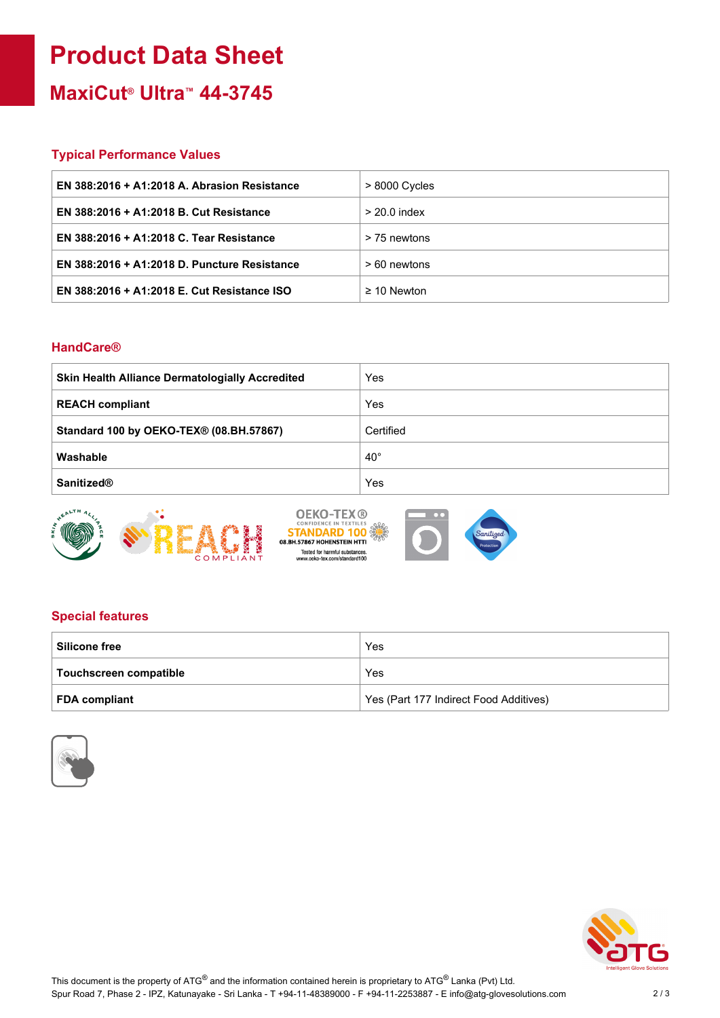# **Product Data Sheet**

**MaxiCut® Ultra™ 44-3745**

### **Typical Performance Values**

| EN 388:2016 + A1:2018 A. Abrasion Resistance | $>8000$ Cycles   |
|----------------------------------------------|------------------|
| EN 388:2016 + A1:2018 B. Cut Resistance      | $> 20.0$ index   |
| EN 388:2016 + A1:2018 C. Tear Resistance     | > 75 newtons     |
| EN 388:2016 + A1:2018 D. Puncture Resistance | > 60 newtons     |
| EN 388:2016 + A1:2018 E. Cut Resistance ISO  | $\geq$ 10 Newton |

#### **HandCare®**

| <b>Skin Health Alliance Dermatologially Accredited</b> | Yes          |
|--------------------------------------------------------|--------------|
| <b>REACH compliant</b>                                 | Yes          |
| Standard 100 by OEKO-TEX® (08.BH.57867)                | Certified    |
| Washable                                               | $40^{\circ}$ |
| <b>Sanitized®</b>                                      | Yes          |







# **Special features**

| <b>Silicone free</b>   | Yes                                    |
|------------------------|----------------------------------------|
| Touchscreen compatible | Yes                                    |
| <b>FDA compliant</b>   | Yes (Part 177 Indirect Food Additives) |